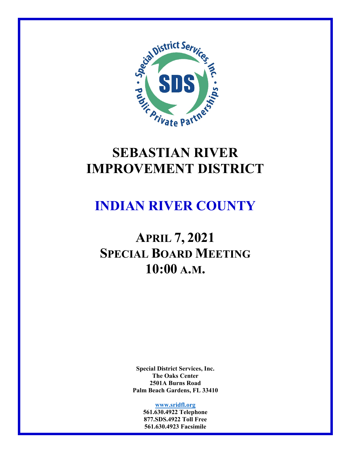

# **SEBASTIAN RIVER IMPROVEMENT DISTRICT**

# **INDIAN RIVER COUNTY**

# **APRIL 7, 2021 SPECIAL BOARD MEETING 10:00 A.M.**

**Special District Services, Inc. The Oaks Center 2501A Burns Road Palm Beach Gardens, FL 33410** 

**www.sridfl.org**

**561.630.4922 Telephone 877.SDS.4922 Toll Free 561.630.4923 Facsimile**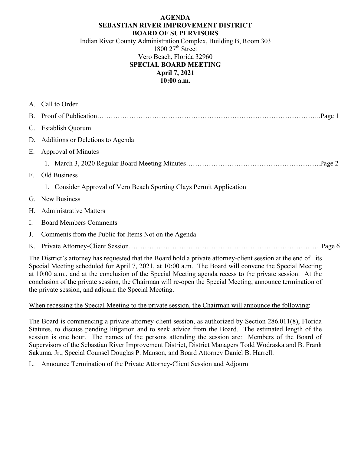#### **AGENDA SEBASTIAN RIVER IMPROVEMENT DISTRICT BOARD OF SUPERVISORS**

Indian River County Administration Complex, Building B, Room 303  $1800$   $27<sup>th</sup>$  Street Vero Beach, Florida 32960 **SPECIAL BOARD MEETING April 7, 2021 10:00 a.m.** 

|                                                                                                                                                                                                                        | A. Call to Order                                                     |  |  |
|------------------------------------------------------------------------------------------------------------------------------------------------------------------------------------------------------------------------|----------------------------------------------------------------------|--|--|
|                                                                                                                                                                                                                        |                                                                      |  |  |
|                                                                                                                                                                                                                        | C. Establish Quorum                                                  |  |  |
|                                                                                                                                                                                                                        | D. Additions or Deletions to Agenda                                  |  |  |
| Е.                                                                                                                                                                                                                     | Approval of Minutes                                                  |  |  |
|                                                                                                                                                                                                                        |                                                                      |  |  |
| F <sub>z</sub>                                                                                                                                                                                                         | Old Business                                                         |  |  |
|                                                                                                                                                                                                                        | 1. Consider Approval of Vero Beach Sporting Clays Permit Application |  |  |
|                                                                                                                                                                                                                        | G. New Business                                                      |  |  |
|                                                                                                                                                                                                                        | H. Administrative Matters                                            |  |  |
| Ι.                                                                                                                                                                                                                     | <b>Board Members Comments</b>                                        |  |  |
| J.                                                                                                                                                                                                                     | Comments from the Public for Items Not on the Agenda                 |  |  |
|                                                                                                                                                                                                                        |                                                                      |  |  |
| The District's attorney has requested that the Board hold a private attorney-client session at the end of its<br>Special Meeting scheduled for April 7, 2021, at 10:00 a.m. The Board will convene the Special Meeting |                                                                      |  |  |

at 10:00 a.m., and at the conclusion of the Special Meeting agenda recess to the private session. At the conclusion of the private session, the Chairman will re-open the Special Meeting, announce termination of the private session, and adjourn the Special Meeting.

#### When recessing the Special Meeting to the private session, the Chairman will announce the following:

The Board is commencing a private attorney-client session, as authorized by Section 286.011(8), Florida Statutes, to discuss pending litigation and to seek advice from the Board. The estimated length of the session is one hour. The names of the persons attending the session are: Members of the Board of Supervisors of the Sebastian River Improvement District, District Managers Todd Wodraska and B. Frank Sakuma, Jr., Special Counsel Douglas P. Manson, and Board Attorney Daniel B. Harrell.

L. Announce Termination of the Private Attorney-Client Session and Adjourn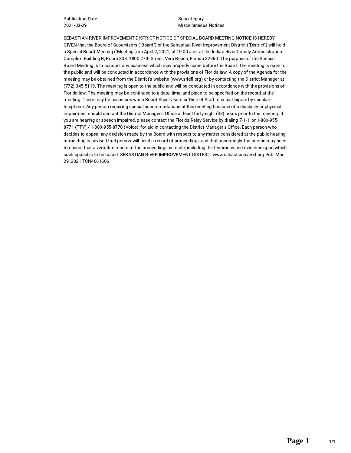**Publication Date** 2021-03-29

Subcategory **Miscellaneous Notices** 

SEBASTIAN RIVER IMPROVEMENT DISTRICT NOTICE OF SPECIAL BOARD MEETING NOTICE IS HEREBY GIVEN that the Board of Supervisors ("Board") of the Sebastian River Improvement District ("District") will hold a Special Board Meeting ("Meeting") on April 7, 2021, at 10:00 a.m. at the Indian River County Administration Complex, Building B, Room 303, 1800 27th Street, Vero Beach, Florida 32960. The purpose of the Special Board Meeting is to conduct any business which may properly come before the Board. The meeting is open to the public and will be conducted in accordance with the provisions of Florida law. A copy of the Agenda for the meeting may be obtained from the District's website (www.sridfl.org) or by contacting the District Manager at (772) 345-5119. The meeting is open to the public and will be conducted in accordance with the provisions of Florida law. The meeting may be continued to a date, time, and place to be specified on the record at the meeting. There may be occasions when Board Supervisors or District Staff may participate by speaker telephone. Any person requiring special accommodations at this meeting because of a disability or physical impairment should contact the District Manager's Office at least forty-eight (48) hours prior to the meeting. If you are hearing or speech impaired, please contact the Florida Relay Service by dialing 7-1-1, or 1-800-955-8771 (TTY) / 1-800-955-8770 (Voice), for aid in contacting the District Manager's Office. Each person who decides to appeal any decision made by the Board with respect to any matter considered at the public hearing or meeting is advised that person will need a record of proceedings and that accordingly, the person may need to ensure that a verbatim record of the proceedings is made, including the testimony and evidence upon which such appeal is to be based. SEBASTIAN RIVER IMPROVEMENT DISTRICT www.sebastianriverid.org Pub: Mar 29, 2021 TCN4661606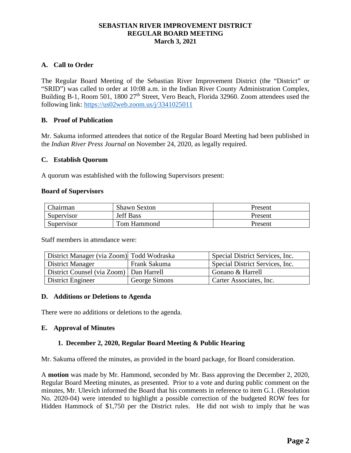#### **SEBASTIAN RIVER IMPROVEMENT DISTRICT REGULAR BOARD MEETING March 3, 2021**

#### **A. Call to Order**

The Regular Board Meeting of the Sebastian River Improvement District (the "District" or "SRID") was called to order at 10:08 a.m. in the Indian River County Administration Complex, Building B-1, Room 501, 1800 27<sup>th</sup> Street, Vero Beach, Florida 32960. Zoom attendees used the following link: https://us02web.zoom.us/j/3341025011

#### **B. Proof of Publication**

Mr. Sakuma informed attendees that notice of the Regular Board Meeting had been published in the *Indian River Press Journal* on November 24, 2020, as legally required.

#### **C. Establish Quorum**

A quorum was established with the following Supervisors present:

#### **Board of Supervisors**

| Chairman   | <b>Shawn Sexton</b> | Present |
|------------|---------------------|---------|
| Supervisor | <b>Jeff Bass</b>    | Present |
| Supervisor | Tom Hammond         | Present |

Staff members in attendance were:

| District Manager (via Zoom) Todd Wodraska |               | Special District Services, Inc. |
|-------------------------------------------|---------------|---------------------------------|
| District Manager                          | Frank Sakuma  | Special District Services, Inc. |
| District Counsel (via Zoom)   Dan Harrell |               | Gonano & Harrell                |
| District Engineer                         | George Simons | Carter Associates, Inc.         |

#### **D. Additions or Deletions to Agenda**

There were no additions or deletions to the agenda.

#### **E. Approval of Minutes**

#### **1. December 2, 2020, Regular Board Meeting & Public Hearing**

Mr. Sakuma offered the minutes, as provided in the board package, for Board consideration.

A **motion** was made by Mr. Hammond, seconded by Mr. Bass approving the December 2, 2020, Regular Board Meeting minutes, as presented. Prior to a vote and during public comment on the minutes, Mr. Ulevich informed the Board that his comments in reference to item G.1. (Resolution No. 2020-04) were intended to highlight a possible correction of the budgeted ROW fees for Hidden Hammock of \$1,750 per the District rules. He did not wish to imply that he was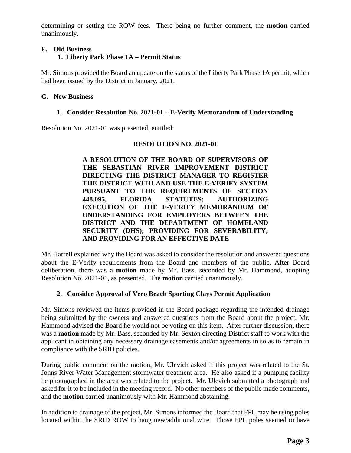determining or setting the ROW fees. There being no further comment, the **motion** carried unanimously.

### **F. Old Business 1. Liberty Park Phase 1A – Permit Status**

Mr. Simons provided the Board an update on the status of the Liberty Park Phase 1A permit, which had been issued by the District in January, 2021.

#### **G. New Business**

#### **1. Consider Resolution No. 2021-01 – E-Verify Memorandum of Understanding**

Resolution No. 2021-01 was presented, entitled:

#### **RESOLUTION NO. 2021-01**

**A RESOLUTION OF THE BOARD OF SUPERVISORS OF THE SEBASTIAN RIVER IMPROVEMENT DISTRICT DIRECTING THE DISTRICT MANAGER TO REGISTER THE DISTRICT WITH AND USE THE E-VERIFY SYSTEM PURSUANT TO THE REQUIREMENTS OF SECTION 448.095, FLORIDA STATUTES; AUTHORIZING EXECUTION OF THE E-VERIFY MEMORANDUM OF UNDERSTANDING FOR EMPLOYERS BETWEEN THE DISTRICT AND THE DEPARTMENT OF HOMELAND SECURITY (DHS); PROVIDING FOR SEVERABILITY; AND PROVIDING FOR AN EFFECTIVE DATE** 

Mr. Harrell explained why the Board was asked to consider the resolution and answered questions about the E-Verify requirements from the Board and members of the public. After Board deliberation, there was a **motion** made by Mr. Bass, seconded by Mr. Hammond, adopting Resolution No. 2021-01, as presented. The **motion** carried unanimously.

#### **2. Consider Approval of Vero Beach Sporting Clays Permit Application**

Mr. Simons reviewed the items provided in the Board package regarding the intended drainage being submitted by the owners and answered questions from the Board about the project. Mr. Hammond advised the Board he would not be voting on this item. After further discussion, there was a **motion** made by Mr. Bass, seconded by Mr. Sexton directing District staff to work with the applicant in obtaining any necessary drainage easements and/or agreements in so as to remain in compliance with the SRID policies.

During public comment on the motion, Mr. Ulevich asked if this project was related to the St. Johns River Water Management stormwater treatment area. He also asked if a pumping facility he photographed in the area was related to the project. Mr. Ulevich submitted a photograph and asked for it to be included in the meeting record. No other members of the public made comments, and the **motion** carried unanimously with Mr. Hammond abstaining.

In addition to drainage of the project, Mr. Simons informed the Board that FPL may be using poles located within the SRID ROW to hang new/additional wire. Those FPL poles seemed to have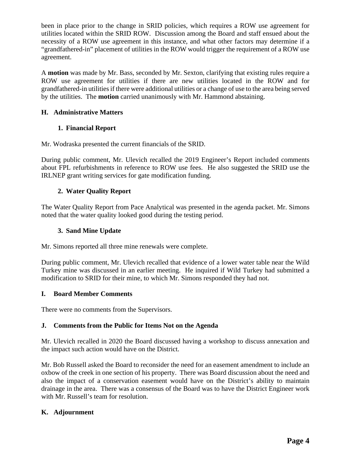been in place prior to the change in SRID policies, which requires a ROW use agreement for utilities located within the SRID ROW. Discussion among the Board and staff ensued about the necessity of a ROW use agreement in this instance, and what other factors may determine if a "grandfathered-in" placement of utilities in the ROW would trigger the requirement of a ROW use agreement.

A **motion** was made by Mr. Bass, seconded by Mr. Sexton, clarifying that existing rules require a ROW use agreement for utilities if there are new utilities located in the ROW and for grandfathered-in utilities if there were additional utilities or a change of use to the area being served by the utilities. The **motion** carried unanimously with Mr. Hammond abstaining.

# **H. Administrative Matters**

### **1. Financial Report**

Mr. Wodraska presented the current financials of the SRID.

During public comment, Mr. Ulevich recalled the 2019 Engineer's Report included comments about FPL refurbishments in reference to ROW use fees. He also suggested the SRID use the IRLNEP grant writing services for gate modification funding.

### **2. Water Quality Report**

The Water Quality Report from Pace Analytical was presented in the agenda packet. Mr. Simons noted that the water quality looked good during the testing period.

### **3. Sand Mine Update**

Mr. Simons reported all three mine renewals were complete.

During public comment, Mr. Ulevich recalled that evidence of a lower water table near the Wild Turkey mine was discussed in an earlier meeting. He inquired if Wild Turkey had submitted a modification to SRID for their mine, to which Mr. Simons responded they had not.

### **I. Board Member Comments**

There were no comments from the Supervisors.

### **J. Comments from the Public for Items Not on the Agenda**

Mr. Ulevich recalled in 2020 the Board discussed having a workshop to discuss annexation and the impact such action would have on the District.

Mr. Bob Russell asked the Board to reconsider the need for an easement amendment to include an oxbow of the creek in one section of his property. There was Board discussion about the need and also the impact of a conservation easement would have on the District's ability to maintain drainage in the area. There was a consensus of the Board was to have the District Engineer work with Mr. Russell's team for resolution.

### **K. Adjournment**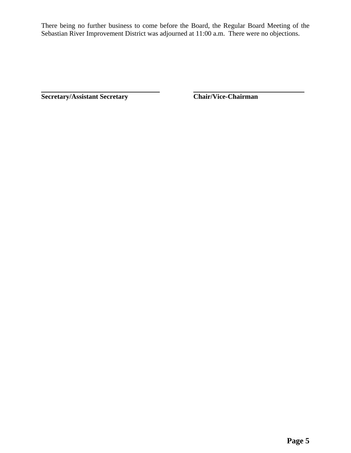There being no further business to come before the Board, the Regular Board Meeting of the Sebastian River Improvement District was adjourned at 11:00 a.m. There were no objections.

**Secretary/Assistant Secretary Chair/Vice-Chairman**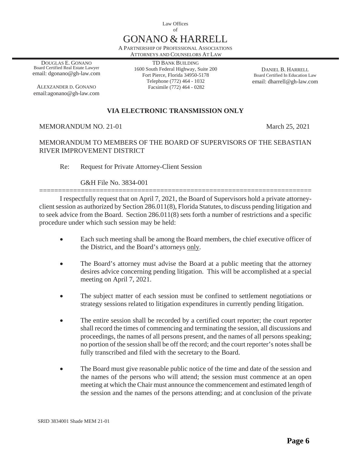Law Offices of

# GONANO & HARRELL

A PARTNERSHIP OF PROFESSIONAL ASSOCIATIONS ATTORNEYS AND COUNSELORS AT LAW

DOUGLAS E. GONANO Board Certified Real Estate Lawyer email: dgonano@gh-law.com

ALEXZANDER D. GONANO email:agonano@gh-law.com

TD BANK BUILDING 1600 South Federal Highway, Suite 200 Fort Pierce, Florida 34950-5178 Telephone (772) 464 - 1032 Facsimile (772) 464 - 0282

DANIEL B. HARRELL Board Certified In Education Law email: dharrell@gh-law.com

# **VIA ELECTRONIC TRANSMISSION ONLY**

#### MEMORANDUM NO. 21-01 March 25, 2021

### MEMORANDUM TO MEMBERS OF THE BOARD OF SUPERVISORS OF THE SEBASTIAN RIVER IMPROVEMENT DISTRICT

Re: Request for Private Attorney-Client Session

#### G&H File No. 3834-001

======================================================================== I respectfully request that on April 7, 2021, the Board of Supervisors hold a private attorneyclient session as authorized by Section 286.011(8), Florida Statutes, to discuss pending litigation and to seek advice from the Board. Section 286.011(8) sets forth a number of restrictions and a specific procedure under which such session may be held:

- Each such meeting shall be among the Board members, the chief executive officer of the District, and the Board's attorneys only.
- The Board's attorney must advise the Board at a public meeting that the attorney desires advice concerning pending litigation. This will be accomplished at a special meeting on April 7, 2021.
- The subject matter of each session must be confined to settlement negotiations or strategy sessions related to litigation expenditures in currently pending litigation.
- The entire session shall be recorded by a certified court reporter; the court reporter shall record the times of commencing and terminating the session, all discussions and proceedings, the names of all persons present, and the names of all persons speaking; no portion of the session shall be off the record; and the court reporter's notes shall be fully transcribed and filed with the secretary to the Board.
- The Board must give reasonable public notice of the time and date of the session and the names of the persons who will attend; the session must commence at an open meeting at which the Chair must announce the commencement and estimated length of the session and the names of the persons attending; and at conclusion of the private